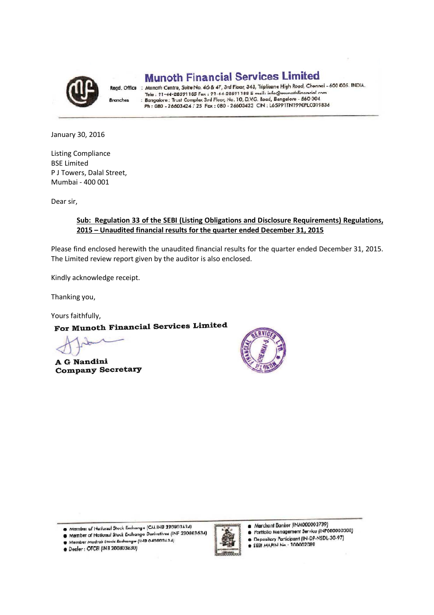

**Branches** 

**Munoth Financial Services Limited** 

Regd. Office : Muncth Centre, Suite No. 46 & 47, 3rd Floor, 343, Triplicane High Road, Chennai - 600 005. INDIA. Munath Centre, Suite No. 46 & 47, 3rd Floor, 343, Implicant Flight Road, Chennar - o<br>Tele : 91-44-28591185 Fax : 91-44-28591188 E-mail: info@munothfinancial.com<br>Bangalore : Trust Complex 3rd Floor, No. 10, D.V.G. Road, Ban

January 30, 2016

Listing Compliance BSE Limited P J Towers, Dalal Street, Mumbai - 400 001

Dear sir,

#### **Sub: Regulation 33 of the SEBI (Listing Obligations and Disclosure Requirements) Regulations, 2015 – Unaudited financial results for the quarter ended December 31, 2015**

Please find enclosed herewith the unaudited financial results for the quarter ended December 31, 2015. The Limited review report given by the auditor is also enclosed.

Kindly acknowledge receipt.

Thanking you,

Yours faithfully,<br>For Munoth Financial Services Limited

A G Nandini **Company Secretary** 



Member of National Stock Exchange (CM INB 230803634)

O Member of National Stock Exchange Derivatives (INF 230803634)

Member Madras Stock Exchange (11-18 040803634)

· Dealer : OTCEI (INB 200803630)



Merchant Banker (INM000003739)

- Portfolio Management Service (INP000000308)
- Depository Participant (IN-DP-NSDL-30-97)  $\bullet$
- \* SEBI MAPIN Nn · 100002089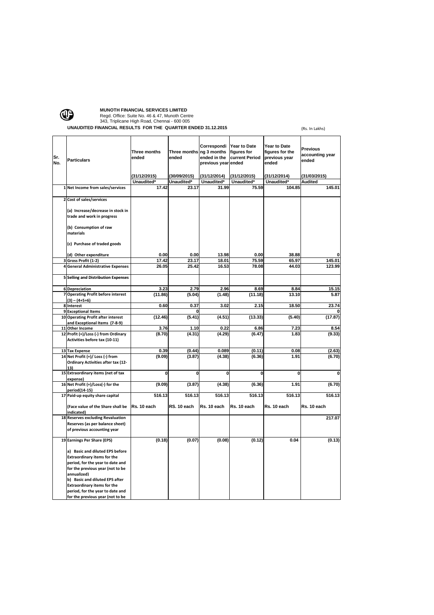

# **MUNOTH FINANCIAL SERVICES LIMITED**<br>
Regd. Office: Suite No. 46 & 47, Munoth Centre<br>
343, Triplicane High Road, Chennai - 600 005

**UNAUDITED FINANCIAL RESULTS FOR THE QUARTER ENDED 31.12.2015** (Rs. In Lakhs)

| Sr.<br>No. | <b>Particulars</b>                                                                                                                                                                                                                                                       | Three months<br>ended<br>(31/12/2015) | Three months ng 3 months<br>ended<br>(30/09/2015) | Correspondi<br>ended in the<br>previous year ended<br>(31/12/2014) | Year to Date<br>figures for<br>current Period<br>(31/12/2015) | Year to Date<br>figures for the<br>previous year<br>ended<br>(31/12/2014) | Previous<br>accounting year<br>ended<br>(31/03/2015) |
|------------|--------------------------------------------------------------------------------------------------------------------------------------------------------------------------------------------------------------------------------------------------------------------------|---------------------------------------|---------------------------------------------------|--------------------------------------------------------------------|---------------------------------------------------------------|---------------------------------------------------------------------------|------------------------------------------------------|
|            |                                                                                                                                                                                                                                                                          | Unaudited*                            | Unaudited <sup>*</sup>                            | Unaudited*                                                         | Unaudited*                                                    | Unaudited*                                                                | Audited                                              |
|            | 1 Net Income from sales/services                                                                                                                                                                                                                                         | 17.42                                 | 23.17                                             | 31.99                                                              | 75.59                                                         | 104.85                                                                    | 145.01                                               |
|            | 2 Cost of sales/services                                                                                                                                                                                                                                                 |                                       |                                                   |                                                                    |                                                               |                                                                           |                                                      |
|            | (a) Increase/decrease in stock in<br>trade and work in progress                                                                                                                                                                                                          |                                       |                                                   |                                                                    |                                                               |                                                                           |                                                      |
|            | (b) Consumption of raw<br>materials                                                                                                                                                                                                                                      |                                       |                                                   |                                                                    |                                                               |                                                                           |                                                      |
|            | (c) Purchase of traded goods                                                                                                                                                                                                                                             |                                       |                                                   |                                                                    |                                                               |                                                                           |                                                      |
|            | (d) Other expenditure                                                                                                                                                                                                                                                    | 0.00                                  | 0.00                                              | 13.98                                                              | 0.00                                                          | 38.88                                                                     |                                                      |
|            | 3 Gross Profit (1-2)                                                                                                                                                                                                                                                     | 17.42                                 | 23.17                                             | 18.01                                                              | 75.59                                                         | 65.97                                                                     | 145.01                                               |
|            | 4 General Administrative Expenses                                                                                                                                                                                                                                        | 26.05                                 | 25.42                                             | 16.53                                                              | 78.08                                                         | 44.03                                                                     | 123.99                                               |
|            | <b>5 Selling and Distribution Expenses</b>                                                                                                                                                                                                                               |                                       |                                                   |                                                                    |                                                               |                                                                           |                                                      |
|            | <b>6</b> Depreciation                                                                                                                                                                                                                                                    | 3.23                                  | 2.79                                              | 2.96                                                               | 8.69                                                          | 8.84                                                                      | 15.15                                                |
|            | 7 Operating Profit before interest                                                                                                                                                                                                                                       | (11.86)                               | (5.04)                                            | (1.48)                                                             | (11.18)                                                       | 13.10                                                                     | 5.87                                                 |
|            | $(3) - (4+5+6)$<br>8 Interest                                                                                                                                                                                                                                            | 0.60                                  | 0.37                                              | 3.02                                                               | 2.15                                                          | 18.50                                                                     | 23.74                                                |
|            | 9 Exceptional Items                                                                                                                                                                                                                                                      |                                       |                                                   |                                                                    |                                                               |                                                                           |                                                      |
|            | 10 Operating Profit after interest<br>and Exceptional Items (7-8-9)                                                                                                                                                                                                      | (12.46)                               | (5.41)                                            | (4.51)                                                             | (13.33)                                                       | (5.40)                                                                    | (17.87)                                              |
| 11         | <b>Other Income</b>                                                                                                                                                                                                                                                      | 3.76                                  | 1.10                                              | 0.22                                                               | 6.86                                                          | 7.23                                                                      | 8.54                                                 |
|            | 12 Profit (+)/Loss (-) from Ordinary<br>Activities before tax (10-11)                                                                                                                                                                                                    | (8.70)                                | (4.31)                                            | (4.29)                                                             | (6.47)                                                        | 1.83                                                                      | (9.33)                                               |
|            | 13 Tax Expense                                                                                                                                                                                                                                                           | 0.39                                  | (0.44)                                            | 0.089                                                              | (0.11)                                                        | 0.08                                                                      | (2.63)                                               |
|            | 14 Net Profit (+)/ Loss (-) from<br>Ordinary Activities after tax (12-<br>13)                                                                                                                                                                                            | (9.09)                                | (3.87)                                            | (4.38)                                                             | (6.36)                                                        | 1.91                                                                      | (6.70)                                               |
|            | 15 Extraordinary items (net of tax<br>expense)                                                                                                                                                                                                                           | 0                                     | $\mathbf 0$                                       | 0                                                                  | 0                                                             | $\mathbf 0$                                                               | 0                                                    |
|            | 16 Net Profit (+)/Loss(-) for the<br>period(14-15)                                                                                                                                                                                                                       | (9.09)                                | (3.87)                                            | (4.38)                                                             | (6.36)                                                        | 1.91                                                                      | (6.70)                                               |
|            | 17 Paid-up equity share capital                                                                                                                                                                                                                                          | 516.13                                | 516.13                                            | 516.13                                                             | 516.13                                                        | 516.13                                                                    | 516.13                                               |
|            | (Face value of the Share shall be<br>indicated)                                                                                                                                                                                                                          | Rs. 10 each                           | RS. 10 each                                       | Rs. 10 each                                                        | Rs. 10 each                                                   | Rs. 10 each                                                               | Rs. 10 each                                          |
|            | 18 Reserves excluding Revaluation<br>Reserves (as per balance sheet)                                                                                                                                                                                                     |                                       |                                                   |                                                                    |                                                               |                                                                           | 217.07                                               |
|            | of previous accounting year                                                                                                                                                                                                                                              |                                       |                                                   |                                                                    |                                                               |                                                                           |                                                      |
|            | 19 Earnings Per Share (EPS)                                                                                                                                                                                                                                              | (0.18)                                | (0.07)                                            | (0.08)                                                             | (0.12)                                                        | 0.04                                                                      | (0.13)                                               |
|            | a) Basic and diluted EPS before<br><b>Extraordinary items for the</b><br>period, for the year to date and<br>for the previous year (not to be<br>annualized)<br>b) Basic and diluted EPS after<br><b>Extraordinary items for the</b><br>period, for the year to date and |                                       |                                                   |                                                                    |                                                               |                                                                           |                                                      |
|            | for the previous year (not to be                                                                                                                                                                                                                                         |                                       |                                                   |                                                                    |                                                               |                                                                           |                                                      |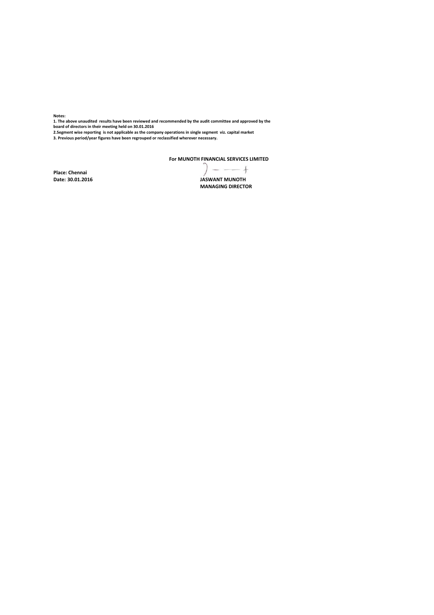**Notes:**

**1. The above unaudited results have been reviewed and recommended by the audit committee and approved by the board of directors in their meeting held on 30.01.2016**

2.Segment wise reporting is not applicable as the company operations in single segment viz. capital market<br>3. Previous period/year figures have been regrouped or reclassified wherever necessary.

**For MUNOTH FINANCIAL SERVICES LIMITED**

**Place: Chennai**

 $7 - - +$ **Date: 29/01/2016 30.01.2016 JASWANT MUNOTH**

**MANAGING DIRECTOR**